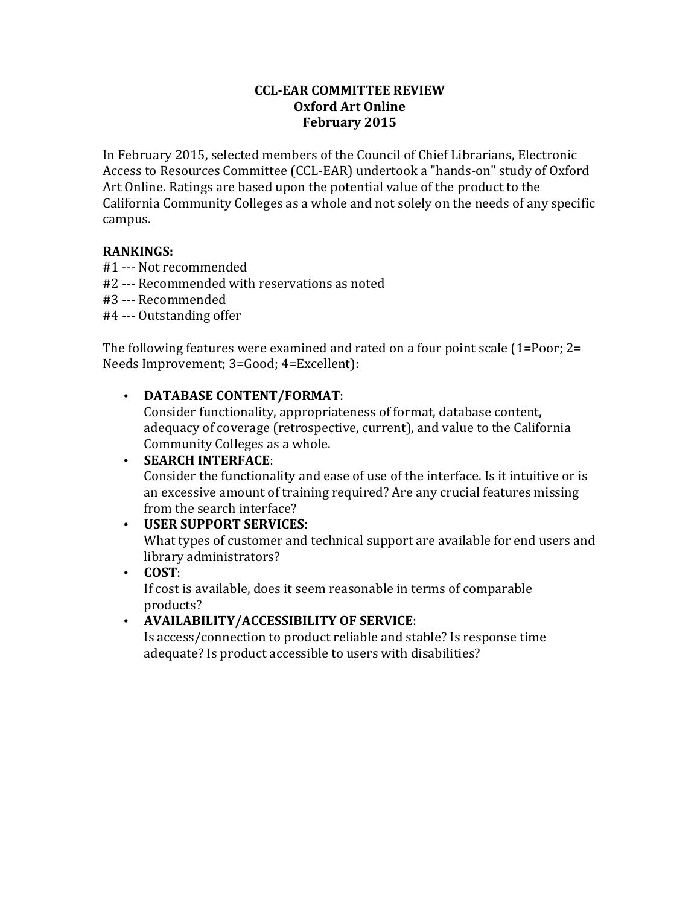#### **CCL-EAR COMMITTEE REVIEW Oxford Art Online February 2015**

In February 2015, selected members of the Council of Chief Librarians, Electronic Access to Resources Committee (CCL-EAR) undertook a "hands-on" study of Oxford Art Online. Ratings are based upon the potential value of the product to the California Community Colleges as a whole and not solely on the needs of any specific campus.

### **RANKINGS:**

- #1 --- Not recommended
- #2 --- Recommended with reservations as noted
- #3 --- Recommended
- #4 --- Outstanding offer

The following features were examined and rated on a four point scale  $(1=Poor; 2=$ Needs Improvement; 3=Good; 4=Excellent):

# • **DATABASE CONTENT/FORMAT:**

Consider functionality, appropriateness of format, database content, adequacy of coverage (retrospective, current), and value to the California Community Colleges as a whole.

## • **SEARCH INTERFACE:**

Consider the functionality and ease of use of the interface. Is it intuitive or is an excessive amount of training required? Are any crucial features missing from the search interface?

### • **USER SUPPORT SERVICES**:

What types of customer and technical support are available for end users and library administrators?

### • **COST**:

If cost is available, does it seem reasonable in terms of comparable products? 

# • **AVAILABILITY/ACCESSIBILITY OF SERVICE**:

Is access/connection to product reliable and stable? Is response time adequate? Is product accessible to users with disabilities?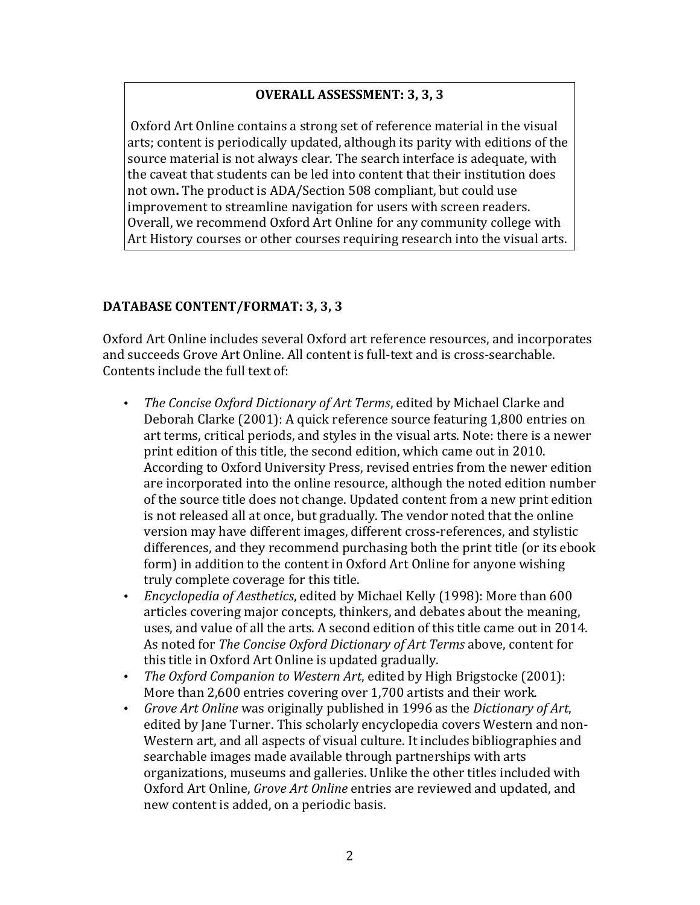# **OVERALL ASSESSMENT: 3, 3, 3**

Oxford Art Online contains a strong set of reference material in the visual arts; content is periodically updated, although its parity with editions of the source material is not always clear. The search interface is adequate, with the caveat that students can be led into content that their institution does not own. The product is ADA/Section 508 compliant, but could use improvement to streamline navigation for users with screen readers. Overall, we recommend Oxford Art Online for any community college with Art History courses or other courses requiring research into the visual arts.

### DATABASE CONTENT/FORMAT: 3, 3, 3

Oxford Art Online includes several Oxford art reference resources, and incorporates and succeeds Grove Art Online. All content is full-text and is cross-searchable. Contents include the full text of:

- The Concise Oxford Dictionary of Art Terms, edited by Michael Clarke and Deborah Clarke (2001): A quick reference source featuring 1,800 entries on art terms, critical periods, and styles in the visual arts. Note: there is a newer print edition of this title, the second edition, which came out in 2010. According to Oxford University Press, revised entries from the newer edition are incorporated into the online resource, although the noted edition number of the source title does not change. Updated content from a new print edition is not released all at once, but gradually. The vendor noted that the online version may have different images, different cross-references, and stylistic differences, and they recommend purchasing both the print title (or its ebook form) in addition to the content in Oxford Art Online for anyone wishing truly complete coverage for this title.
- *Encyclopedia of Aesthetics*, edited by Michael Kelly (1998): More than 600 articles covering major concepts, thinkers, and debates about the meaning, uses, and value of all the arts. A second edition of this title came out in 2014. As noted for *The Concise Oxford Dictionary of Art Terms* above, content for this title in Oxford Art Online is updated gradually.
- *The Oxford Companion to Western Art*, edited by High Brigstocke (2001): More than 2,600 entries covering over 1,700 artists and their work.
- *Grove Art Online* was originally published in 1996 as the *Dictionary of Art*, edited by Jane Turner. This scholarly encyclopedia covers Western and non-Western art, and all aspects of visual culture. It includes bibliographies and searchable images made available through partnerships with arts organizations, museums and galleries. Unlike the other titles included with Oxford Art Online, *Grove Art Online* entries are reviewed and updated, and new content is added, on a periodic basis.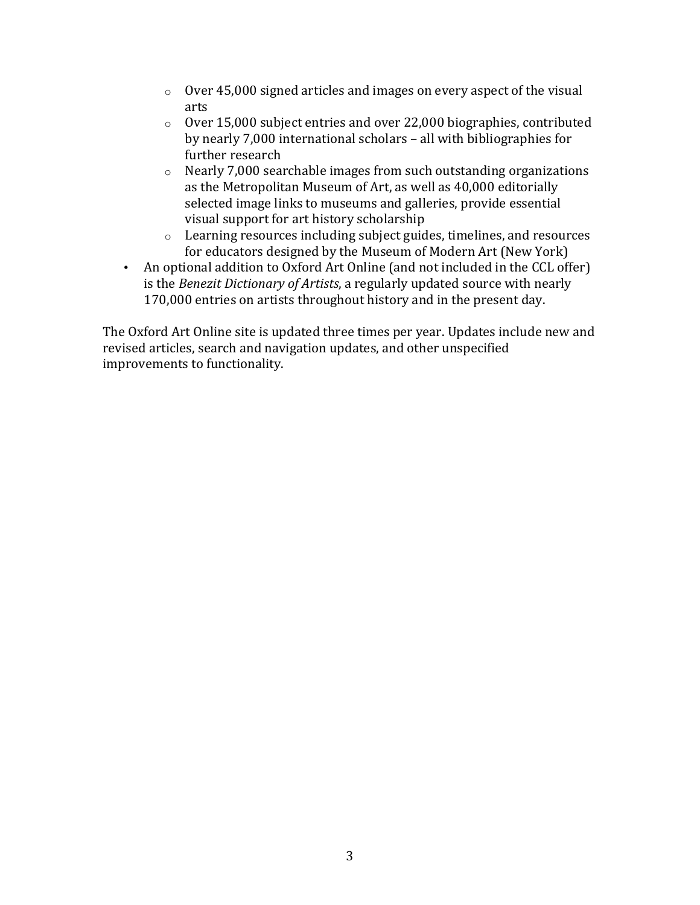- $\circ$  Over 45,000 signed articles and images on every aspect of the visual arts
- $\circ$  Over 15,000 subject entries and over 22,000 biographies, contributed by nearly 7,000 international scholars – all with bibliographies for further research
- $\circ$  Nearly 7,000 searchable images from such outstanding organizations as the Metropolitan Museum of Art, as well as 40,000 editorially selected image links to museums and galleries, provide essential visual support for art history scholarship
- $\circ$  Learning resources including subject guides, timelines, and resources for educators designed by the Museum of Modern Art (New York)
- An optional addition to Oxford Art Online (and not included in the CCL offer) is the *Benezit Dictionary of Artists*, a regularly updated source with nearly 170,000 entries on artists throughout history and in the present day.

The Oxford Art Online site is updated three times per year. Updates include new and revised articles, search and navigation updates, and other unspecified improvements to functionality.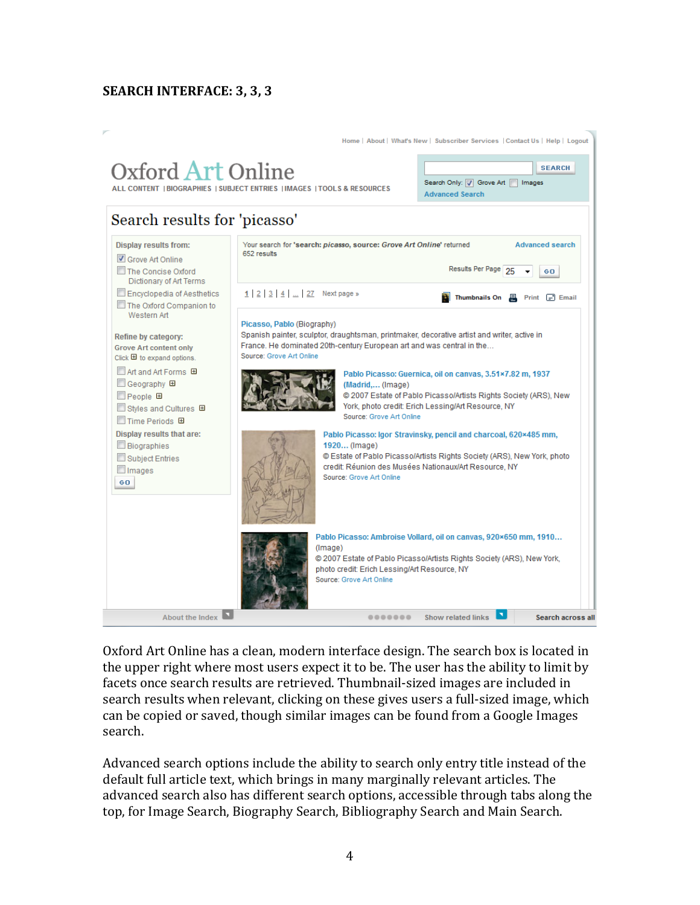# **SEARCH INTERFACE: 3, 3, 3**



Oxford Art Online has a clean, modern interface design. The search box is located in the upper right where most users expect it to be. The user has the ability to limit by facets once search results are retrieved. Thumbnail-sized images are included in search results when relevant, clicking on these gives users a full-sized image, which can be copied or saved, though similar images can be found from a Google Images search.

Advanced search options include the ability to search only entry title instead of the default full article text, which brings in many marginally relevant articles. The advanced search also has different search options, accessible through tabs along the top, for Image Search, Biography Search, Bibliography Search and Main Search.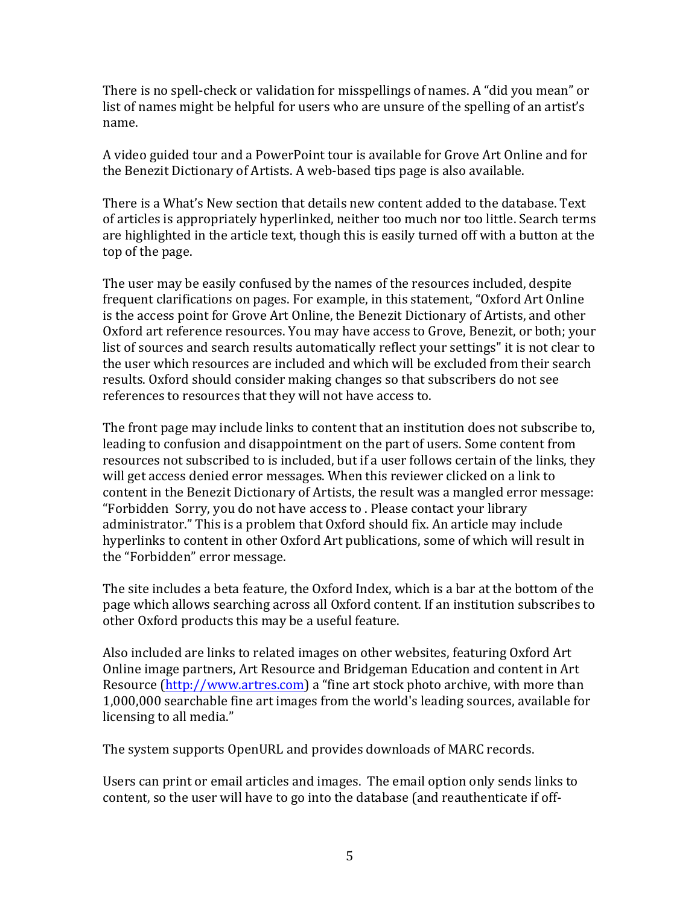There is no spell-check or validation for misspellings of names. A "did you mean" or list of names might be helpful for users who are unsure of the spelling of an artist's name.

A video guided tour and a PowerPoint tour is available for Grove Art Online and for the Benezit Dictionary of Artists. A web-based tips page is also available.

There is a What's New section that details new content added to the database. Text of articles is appropriately hyperlinked, neither too much nor too little. Search terms are highlighted in the article text, though this is easily turned off with a button at the top of the page.

The user may be easily confused by the names of the resources included, despite frequent clarifications on pages. For example, in this statement, "Oxford Art Online is the access point for Grove Art Online, the Benezit Dictionary of Artists, and other Oxford art reference resources. You may have access to Grove, Benezit, or both; your list of sources and search results automatically reflect your settings" it is not clear to the user which resources are included and which will be excluded from their search results. Oxford should consider making changes so that subscribers do not see references to resources that they will not have access to.

The front page may include links to content that an institution does not subscribe to, leading to confusion and disappointment on the part of users. Some content from resources not subscribed to is included, but if a user follows certain of the links, they will get access denied error messages. When this reviewer clicked on a link to content in the Benezit Dictionary of Artists, the result was a mangled error message: "Forbidden Sorry, you do not have access to . Please contact your library administrator." This is a problem that Oxford should fix. An article may include hyperlinks to content in other Oxford Art publications, some of which will result in the "Forbidden" error message.

The site includes a beta feature, the Oxford Index, which is a bar at the bottom of the page which allows searching across all Oxford content. If an institution subscribes to other Oxford products this may be a useful feature.

Also included are links to related images on other websites, featuring Oxford Art Online image partners, Art Resource and Bridgeman Education and content in Art Resource (http://www.artres.com) a "fine art stock photo archive, with more than 1,000,000 searchable fine art images from the world's leading sources, available for licensing to all media."

The system supports OpenURL and provides downloads of MARC records.

Users can print or email articles and images. The email option only sends links to content, so the user will have to go into the database (and reauthenticate if off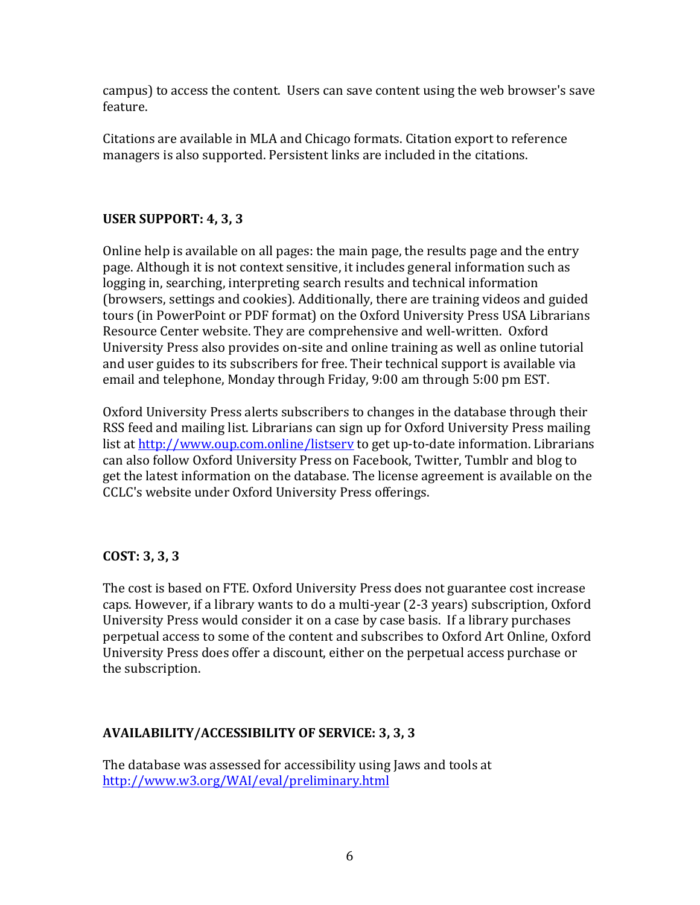campus) to access the content. Users can save content using the web browser's save feature.

Citations are available in MLA and Chicago formats. Citation export to reference managers is also supported. Persistent links are included in the citations.

# **USER SUPPORT: 4, 3, 3**

Online help is available on all pages: the main page, the results page and the entry page. Although it is not context sensitive, it includes general information such as logging in, searching, interpreting search results and technical information (browsers, settings and cookies). Additionally, there are training videos and guided tours (in PowerPoint or PDF format) on the Oxford University Press USA Librarians Resource Center website. They are comprehensive and well-written. Oxford University Press also provides on-site and online training as well as online tutorial and user guides to its subscribers for free. Their technical support is available via email and telephone, Monday through Friday, 9:00 am through 5:00 pm EST.

Oxford University Press alerts subscribers to changes in the database through their RSS feed and mailing list. Librarians can sign up for Oxford University Press mailing list at http://www.oup.com.online/listsery to get up-to-date information. Librarians can also follow Oxford University Press on Facebook, Twitter, Tumblr and blog to get the latest information on the database. The license agreement is available on the CCLC's website under Oxford University Press offerings.

### **COST: 3, 3, 3**

The cost is based on FTE. Oxford University Press does not guarantee cost increase caps. However, if a library wants to do a multi-year (2-3 years) subscription, Oxford University Press would consider it on a case by case basis. If a library purchases perpetual access to some of the content and subscribes to Oxford Art Online, Oxford University Press does offer a discount, either on the perpetual access purchase or the subscription.

# **AVAILABILITY/ACCESSIBILITY OF SERVICE: 3, 3, 3**

The database was assessed for accessibility using Jaws and tools at http://www.w3.org/WAI/eval/preliminary.html